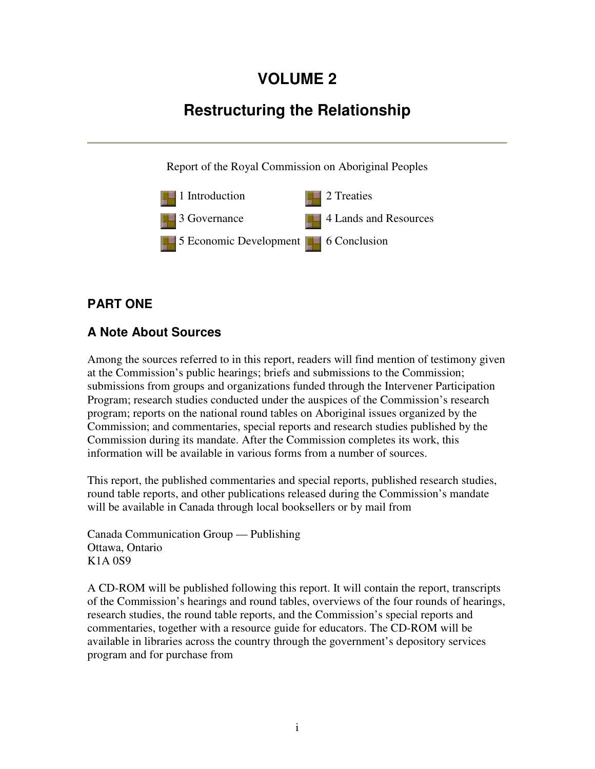## **VOLUME 2**

# **Restructuring the Relationship**

Report of the Royal Commission on Aboriginal Peoples



### **PART ONE**

#### **A Note About Sources**

Among the sources referred to in this report, readers will find mention of testimony given at the Commission's public hearings; briefs and submissions to the Commission; submissions from groups and organizations funded through the Intervener Participation Program; research studies conducted under the auspices of the Commission's research program; reports on the national round tables on Aboriginal issues organized by the Commission; and commentaries, special reports and research studies published by the Commission during its mandate. After the Commission completes its work, this information will be available in various forms from a number of sources.

This report, the published commentaries and special reports, published research studies, round table reports, and other publications released during the Commission's mandate will be available in Canada through local booksellers or by mail from

Canada Communication Group — Publishing Ottawa, Ontario K1A 0S9

A CD-ROM will be published following this report. It will contain the report, transcripts of the Commission's hearings and round tables, overviews of the four rounds of hearings, research studies, the round table reports, and the Commission's special reports and commentaries, together with a resource guide for educators. The CD-ROM will be available in libraries across the country through the government's depository services program and for purchase from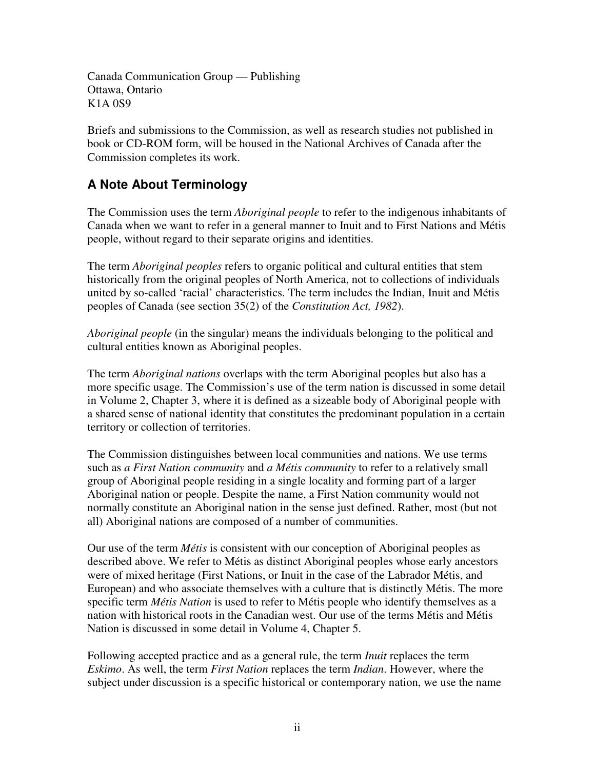Canada Communication Group — Publishing Ottawa, Ontario K1A 0S9

Briefs and submissions to the Commission, as well as research studies not published in book or CD-ROM form, will be housed in the National Archives of Canada after the Commission completes its work.

#### **A Note About Terminology**

The Commission uses the term *Aboriginal people* to refer to the indigenous inhabitants of Canada when we want to refer in a general manner to Inuit and to First Nations and Métis people, without regard to their separate origins and identities.

The term *Aboriginal peoples* refers to organic political and cultural entities that stem historically from the original peoples of North America, not to collections of individuals united by so-called 'racial' characteristics. The term includes the Indian, Inuit and Métis peoples of Canada (see section 35(2) of the *Constitution Act, 1982*).

*Aboriginal people* (in the singular) means the individuals belonging to the political and cultural entities known as Aboriginal peoples.

The term *Aboriginal nations* overlaps with the term Aboriginal peoples but also has a more specific usage. The Commission's use of the term nation is discussed in some detail in Volume 2, Chapter 3, where it is defined as a sizeable body of Aboriginal people with a shared sense of national identity that constitutes the predominant population in a certain territory or collection of territories.

The Commission distinguishes between local communities and nations. We use terms such as *a First Nation community* and *a Métis community* to refer to a relatively small group of Aboriginal people residing in a single locality and forming part of a larger Aboriginal nation or people. Despite the name, a First Nation community would not normally constitute an Aboriginal nation in the sense just defined. Rather, most (but not all) Aboriginal nations are composed of a number of communities.

Our use of the term *Métis* is consistent with our conception of Aboriginal peoples as described above. We refer to Métis as distinct Aboriginal peoples whose early ancestors were of mixed heritage (First Nations, or Inuit in the case of the Labrador Métis, and European) and who associate themselves with a culture that is distinctly Métis. The more specific term *Métis Nation* is used to refer to Métis people who identify themselves as a nation with historical roots in the Canadian west. Our use of the terms Métis and Métis Nation is discussed in some detail in Volume 4, Chapter 5.

Following accepted practice and as a general rule, the term *Inuit* replaces the term *Eskimo*. As well, the term *First Nation* replaces the term *Indian*. However, where the subject under discussion is a specific historical or contemporary nation, we use the name